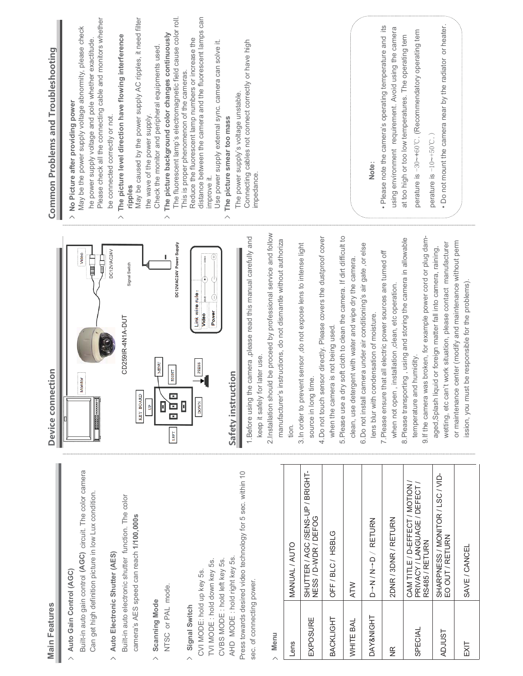|                             | Device connection                                                                                                                                                                                                                                                                             | Common Problems and Troubleshooting                                                                                                                                                                                                                                                                    |
|-----------------------------|-----------------------------------------------------------------------------------------------------------------------------------------------------------------------------------------------------------------------------------------------------------------------------------------------|--------------------------------------------------------------------------------------------------------------------------------------------------------------------------------------------------------------------------------------------------------------------------------------------------------|
| e color camera<br>ondition. | DC12V/AC24V<br>Video<br>∏<br>U<br>$\frac{1}{\frac{1}{2}}$<br>Monitor                                                                                                                                                                                                                          | Please check all the connecting cable and monitors whether<br>May be the power supply voltage abnormity, please check<br>he power supply voltage and pole whether exactitude.<br>No Picture after providing power<br>be connected correctly or not.<br>$\overline{\phantom{0}}$                        |
| ie color<br><b>SC</b>       | Signal Switch<br>CD259IR-4N1A-DUT<br>MENU<br><b>RIGHT</b><br>KEY BOARD<br>o<br>O<br>ò<br>B<br>$\Box$<br>LEFT                                                                                                                                                                                  | May be caused by the power supply AC ripples, it need filter<br>The picture background color changes continuously<br>The picture level direction have flowing interference<br>Check the monitor and peripheral equipments used.<br>the wave of the power supply.<br>ripples<br>$\wedge$<br>ᄉ           |
|                             | DC12V/AC24V Power Supply<br>Link wire rule:<br>Œ<br>Power<br>Video<br><b>PRESS</b><br><b>DOWN</b><br>П                                                                                                                                                                                        | The fluorescent lamp's electromagnetic field cause color roll.<br>distance between the camera and the fluorescent lamps can<br>Reduce the fluorescent lamp numbers or increase the<br>Use power supply external sync. camera can solve it.<br>This is proper phenomenon of the cameras.<br>improve it. |
| sec. within 10              | d be proceed by professional service and follow<br>camera, please read this manual carefully and<br>manufacturer's instructions, do not dismantle without authoriza<br>later use<br>Safety instruction<br>1. Before using the<br>keep it safely for<br>2.Installation shoul                   | Connecting cables not connect correctly or have high<br>The power supply's voltage unstable.<br>The picture smear too mass<br>impedance.                                                                                                                                                               |
| UP / BRIGHT-                | 4. Do not touch sensor directly. Please covers the dustproof cover<br>soft cloth to clean the camera. If dirt difficult to<br>3. In order to prevent sensor, do not expose lens to intense light<br>when the camera is not being used<br>source in long time.<br>5. Please use a dry<br>tion. |                                                                                                                                                                                                                                                                                                        |
|                             | else<br>6. Do not install camera under air conditioning's air gate, or<br>clean, use detergent with water and wipe dry the camera<br>lens blur with condensation of moisture.                                                                                                                 | Note:                                                                                                                                                                                                                                                                                                  |
|                             | 7. Please ensure that all electric power sources are turned off<br>installation, clean, etc operation<br>when not open,                                                                                                                                                                       | Please note the camera's operating temperature and its<br>using environment requirement. Avoid using the camera                                                                                                                                                                                        |
| MOTION/<br>DEFECT           | s broken, for example power cord or plug dam-<br>8. Please transporting, using and storing the camera in allowable<br>humidity.<br>temperature and<br>9. If the camera wa                                                                                                                     | perature is -30~+60°C. (Recommendatory operating tem<br>at too high or too low temperatures. The operating tem<br>perature is $-10$ $-10$ $-50$ °C.                                                                                                                                                    |
| R/LSC/VID-                  | or maintenance center (modify and maintenance without perm<br>wetting, etc can't work situation, please contact manufacturer<br>aged, Splash liquid or foreign matter fall into camera, raining,<br>be responsible for the problems)<br>ission, you must                                      | • Do not mount the camera near by the radiator or heater.                                                                                                                                                                                                                                              |
|                             |                                                                                                                                                                                                                                                                                               |                                                                                                                                                                                                                                                                                                        |

### **Main Features**

> Auto Gain Control (AGC)

Built-in auto gain control (AGC) circuit. The Can get high definition picture in low Lux co

# > Auto Electronic Shutter (AES)

Built-in auto electronic shutter function. Th camera's AES speed can reach 1/100,000s

## > Scanning Mode

NTSC or PAL mode.

#### > Signal Switch

Press towards desired video technology for 5 AHD MODE: hold right key 5s. CVBS MODE : hold left key 5s. TVI MODE : hold down key 5s. CVI MODE: hold up key 5s. sec. of connecting power.

#### $>$  Menu

| Lens               | MANUAL/AUTO                                                                        |
|--------------------|------------------------------------------------------------------------------------|
| EXPOSURE           | SHUTTER / AGC/SENS-UP / BRIGHT-<br>NESS / D-WDR / DEFOG                            |
| BACKLIGHT          | OFF/BLC/HSBLG                                                                      |
| WHITE BAL          | <b>ATW</b>                                                                         |
| DAY&NIGHT          | $D \rightarrow N / N \rightarrow D / RETURN$                                       |
| $\frac{\alpha}{2}$ | 2DNR / 3DNR / RETURN                                                               |
| SPECIAL            | CAM TITLE / D-EFFECT / MOTION /<br>PRIVACY / LANGUAGE / DEFECT /<br>RS485 / RETURN |
| <b>ADJUST</b>      | SHARPNESS / MONITOR / LSC / VID-<br>EO OUT / RETURN                                |
| EXIT               | SAVE / CANCEL                                                                      |